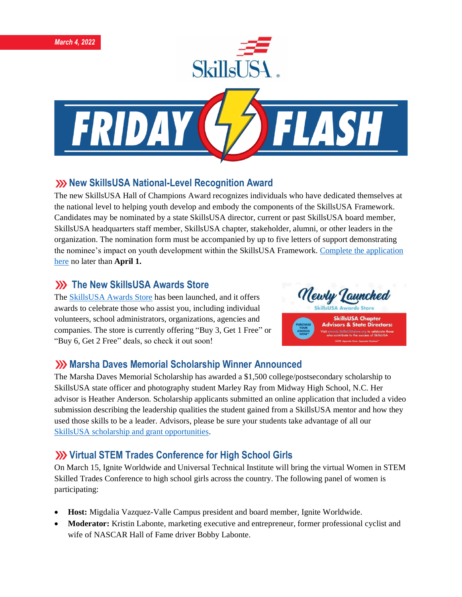

## **XX New SkillsUSA National-Level Recognition Award**

The new SkillsUSA Hall of Champions Award recognizes individuals who have dedicated themselves at the national level to helping youth develop and embody the components of the SkillsUSA Framework. Candidates may be nominated by a state SkillsUSA director, current or past SkillsUSA board member, SkillsUSA headquarters staff member, SkillsUSA chapter, stakeholder, alumni, or other leaders in the organization. The nomination form must be accompanied by up to five letters of support demonstrating the nominee's impact on youth development within the SkillsUSA Framework[. Complete the application](https://skillsusa.wufoo.com/forms/skillsusa-hall-of-champions-award/)  [here](https://skillsusa.wufoo.com/forms/skillsusa-hall-of-champions-award/) no later than **April 1.**

## **XX** The New SkillsUSA Awards Store

The [SkillsUSA Awards Store](https://awards.skillsusastore.org/) has been launched, and it offers awards to celebrate those who assist you, including individual volunteers, school administrators, organizations, agencies and companies. The store is currently offering "Buy 3, Get 1 Free" or "Buy 6, Get 2 Free" deals, so check it out soon!



### **XX** Marsha Daves Memorial Scholarship Winner Announced

The Marsha Daves Memorial Scholarship has awarded a \$1,500 college/postsecondary scholarship to SkillsUSA state officer and photography student Marley Ray from Midway High School, N.C. Her advisor is Heather Anderson. Scholarship applicants submitted an online application that included a video submission describing the leadership qualities the student gained from a SkillsUSA mentor and how they used those skills to be a leader. Advisors, please be sure your students take advantage of all our [SkillsUSA scholarship and grant opportunities.](https://www.skillsusa.org/membership-resources/scholarships-financial-aid/)

# **XX** Virtual STEM Trades Conference for High School Girls

On March 15, Ignite Worldwide and Universal Technical Institute will bring the virtual Women in STEM Skilled Trades Conference to high school girls across the country. The following panel of women is participating:

- **Host:** Migdalia Vazquez-Valle Campus president and board member, Ignite Worldwide.
- **Moderator:** Kristin Labonte, marketing executive and entrepreneur, former professional cyclist and wife of NASCAR Hall of Fame driver Bobby Labonte.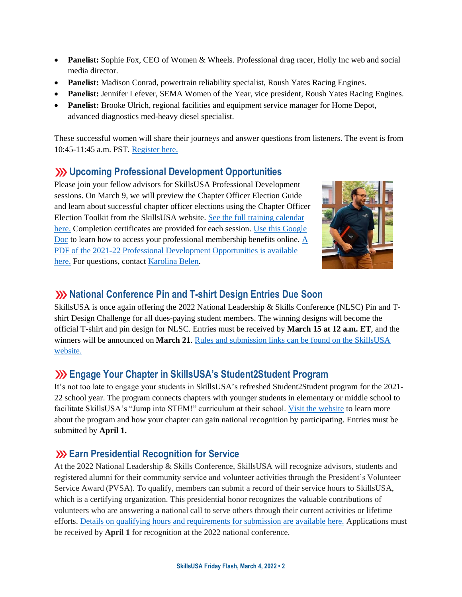- **Panelist:** Sophie Fox, CEO of Women & Wheels. Professional drag racer, Holly Inc web and social media director.
- **Panelist:** Madison Conrad, powertrain reliability specialist, Roush Yates Racing Engines.
- **Panelist:** Jennifer Lefever, SEMA Women of the Year, vice president, Roush Yates Racing Engines.
- **Panelist:** Brooke Ulrich, regional facilities and equipment service manager for Home Depot, advanced diagnostics med-heavy diesel specialist.

These successful women will share their journeys and answer questions from listeners. The event is from 10:45-11:45 a.m. PST[. Register here.](https://www.igniteworldwide.org/events/virtual-panel-with-universal-technical-institute-w-extended-qa/)

#### **Upcoming Professional Development Opportunities**

Please join your fellow advisors for SkillsUSA Professional Development sessions. On March 9, we will preview the Chapter Officer Election Guide and learn about successful chapter officer elections using the Chapter Officer Election Toolkit from the SkillsUSA website. [See the full training calendar](https://www.skillsusa.org/events-training/)  [here.](https://www.skillsusa.org/events-training/) Completion certificates are provided for each session. [Use this Google](https://docs.google.com/document/d/1d2EvwsmdelNzm-WK7pTGSokJTbWZXcFDOODai32SGzk/edit)  [Doc](https://docs.google.com/document/d/1d2EvwsmdelNzm-WK7pTGSokJTbWZXcFDOODai32SGzk/edit) to learn how to access your professional membership benefits online. [A](https://www.skillsusa.org/wp-content/uploads/2021/09/SkillsUSA-2021-Professional-Development-Opportunities-v9.pdf)  [PDF of the 2021-22 Professional Development Opportunities is available](https://www.skillsusa.org/wp-content/uploads/2021/09/SkillsUSA-2021-Professional-Development-Opportunities-v9.pdf)  [here.](https://www.skillsusa.org/wp-content/uploads/2021/09/SkillsUSA-2021-Professional-Development-Opportunities-v9.pdf) For questions, contact [Karolina Belen.](mailto:kbelen@skillsusa.org)



#### **National Conference Pin and T-shirt Design Entries Due Soon**

SkillsUSA is once again offering the 2022 National Leadership & Skills Conference (NLSC) Pin and Tshirt Design Challenge for all dues-paying student members. The winning designs will become the official T-shirt and pin design for NLSC. Entries must be received by **March 15 at 12 a.m. ET**, and the winners will be announced on **March 21**[. Rules and submission links can be found on the SkillsUSA](https://www.skillsusa.org/competitions/pin-design-challenge/)  [website.](https://www.skillsusa.org/competitions/pin-design-challenge/)

### **Engage Your Chapter in SkillsUSA's Student2Student Program**

It's not too late to engage your students in SkillsUSA's refreshed Student2Student program for the 2021- 22 school year. The program connects chapters with younger students in elementary or middle school to facilitate SkillsUSA's "Jump into STEM!" curriculum at their school. [Visit the website](https://www.skillsusa.org/programs/student2student/) to learn more about the program and how your chapter can gain national recognition by participating. Entries must be submitted by **April 1.**

#### **Earn Presidential Recognition for Service**

At the 2022 National Leadership & Skills Conference, SkillsUSA will recognize advisors, students and registered alumni for their community service and volunteer activities through the President's Volunteer Service Award (PVSA). To qualify, members can submit a record of their service hours to SkillsUSA, which is a certifying organization. This presidential honor recognizes the valuable contributions of volunteers who are answering a national call to serve others through their current activities or lifetime efforts. [Details on qualifying hours and requirements for submission are available here.](https://www.skillsusa.org/membership-resources/awards/presidents-volunteer-service-award) Applications must be received by **April 1** for recognition at the 2022 national conference.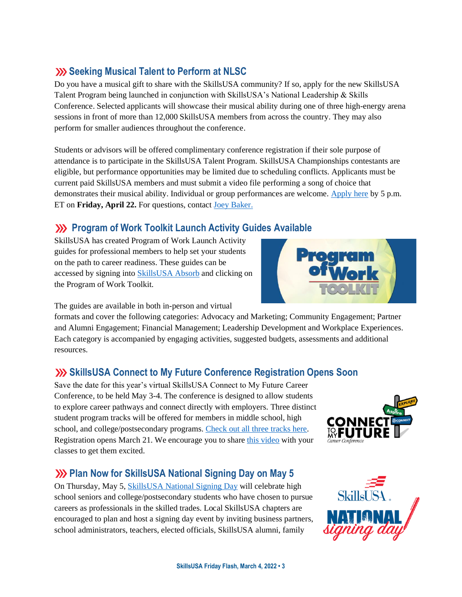# **Seeking Musical Talent to Perform at NLSC**

Do you have a musical gift to share with the SkillsUSA community? If so, apply for the new SkillsUSA Talent Program being launched in conjunction with SkillsUSA's National Leadership & Skills Conference. Selected applicants will showcase their musical ability during one of three high-energy arena sessions in front of more than 12,000 SkillsUSA members from across the country. They may also perform for smaller audiences throughout the conference.

Students or advisors will be offered complimentary conference registration if their sole purpose of attendance is to participate in the SkillsUSA Talent Program. SkillsUSA Championships contestants are eligible, but performance opportunities may be limited due to scheduling conflicts. Applicants must be current paid SkillsUSA members and must submit a video file performing a song of choice that demonstrates their musical ability. Individual or group performances are welcome. [Apply here](https://skillsusa.wufoo.com/forms/r3mvb5155fzzs/) by 5 p.m. ET on **Friday, April 22.** For questions, contact [Joey Baker.](mailto:jbaker@skillsusa.org)

# **EXECUTE:** Program of Work Toolkit Launch Activity Guides Available

SkillsUSA has created Program of Work Launch Activity guides for professional members to help set your students on the path to career readiness. These guides can be accessed by signing into [SkillsUSA Absorb](https://absorb.skillsusa.org/) and clicking on the Program of Work Toolkit.



The guides are available in both in-person and virtual

formats and cover the following categories: Advocacy and Marketing; Community Engagement; Partner and Alumni Engagement; Financial Management; Leadership Development and Workplace Experiences. Each category is accompanied by engaging activities, suggested budgets, assessments and additional resources.

### **SkillsUSA Connect to My Future Conference Registration Opens Soon**

Save the date for this year's virtual SkillsUSA Connect to My Future Career Conference, to be held May 3-4. The conference is designed to allow students to explore career pathways and connect directly with employers. Three distinct student program tracks will be offered for members in middle school, high school, and college/postsecondary programs. [Check out all three tracks here.](https://www.skillsusa.org/events-training/skillsusa-connect-to-my-future-conference/) Registration opens March 21. We encourage you to share [this video](https://www.youtube.com/watch?v=oVDAfF486S0) with your classes to get them excited.

### **We Dian Now for SkillsUSA National Signing Day on May 5**

On Thursday, May 5, [SkillsUSA National Signing Day](https://www.skillsusa.org/events-training/national-signing-day/) will celebrate high school seniors and college/postsecondary students who have chosen to pursue careers as professionals in the skilled trades. Local SkillsUSA chapters are encouraged to plan and host a signing day event by inviting business partners, school administrators, teachers, elected officials, SkillsUSA alumni, family